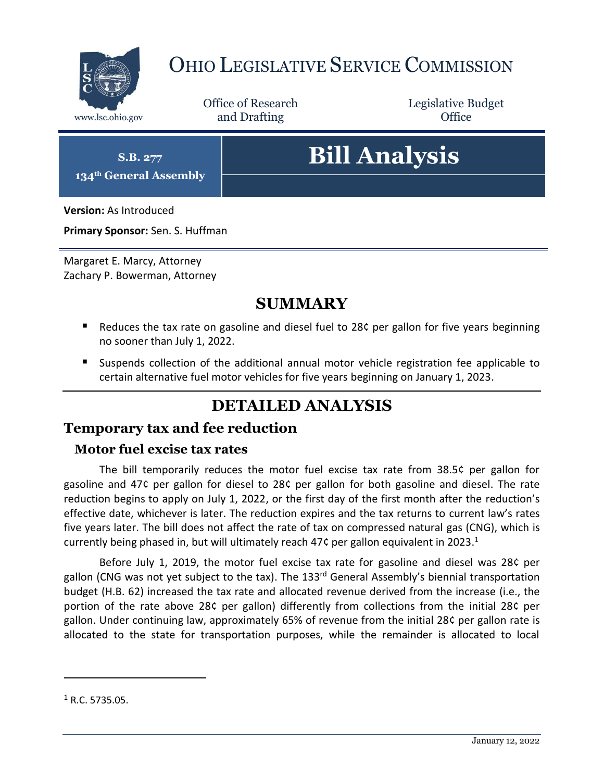

## OHIO LEGISLATIVE SERVICE COMMISSION

Office of Research www.lsc.ohio.gov **and Drafting Office** 

Legislative Budget

**S.B. 277 134th General Assembly**

# **Bill Analysis**

**Version:** As Introduced

**Primary Sponsor:** Sen. S. Huffman

Margaret E. Marcy, Attorney Zachary P. Bowerman, Attorney

## **SUMMARY**

- Reduces the tax rate on gasoline and diesel fuel to 28 $\zeta$  per gallon for five years beginning no sooner than July 1, 2022.
- Suspends collection of the additional annual motor vehicle registration fee applicable to certain alternative fuel motor vehicles for five years beginning on January 1, 2023.

## **DETAILED ANALYSIS**

### **Temporary tax and fee reduction**

#### **Motor fuel excise tax rates**

The bill temporarily reduces the motor fuel excise tax rate from 38.5¢ per gallon for gasoline and 47¢ per gallon for diesel to 28¢ per gallon for both gasoline and diesel. The rate reduction begins to apply on July 1, 2022, or the first day of the first month after the reduction's effective date, whichever is later. The reduction expires and the tax returns to current law's rates five years later. The bill does not affect the rate of tax on compressed natural gas (CNG), which is currently being phased in, but will ultimately reach 47¢ per gallon equivalent in 2023.<sup>1</sup>

Before July 1, 2019, the motor fuel excise tax rate for gasoline and diesel was 28¢ per gallon (CNG was not yet subject to the tax). The 133<sup>rd</sup> General Assembly's biennial transportation budget (H.B. 62) increased the tax rate and allocated revenue derived from the increase (i.e., the portion of the rate above 28¢ per gallon) differently from collections from the initial 28¢ per gallon. Under continuing law, approximately 65% of revenue from the initial 28¢ per gallon rate is allocated to the state for transportation purposes, while the remainder is allocated to local

l

 $<sup>1</sup>$  R.C. 5735.05.</sup>